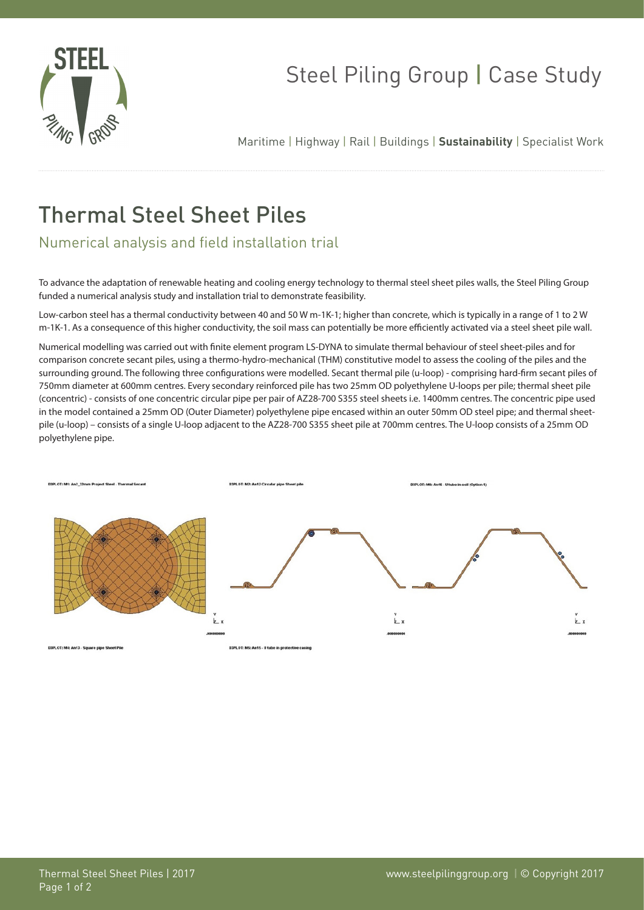

## Steel Piling Group | Case Study

Maritime | Highway | Rail | Buildings | **Sustainability** | Specialist Work

## Thermal Steel Sheet Piles

Numerical analysis and field installation trial

To advance the adaptation of renewable heating and cooling energy technology to thermal steel sheet piles walls, the Steel Piling Group funded a numerical analysis study and installation trial to demonstrate feasibility.

Low-carbon steel has a thermal conductivity between 40 and 50 W m-1K-1; higher than concrete, which is typically in a range of 1 to 2 W m-1K-1. As a consequence of this higher conductivity, the soil mass can potentially be more efficiently activated via a steel sheet pile wall.

Numerical modelling was carried out with finite element program LS-DYNA to simulate thermal behaviour of steel sheet-piles and for comparison concrete secant piles, using a thermo-hydro-mechanical (THM) constitutive model to assess the cooling of the piles and the surrounding ground. The following three configurations were modelled. Secant thermal pile (u-loop) - comprising hard-firm secant piles of 750mm diameter at 600mm centres. Every secondary reinforced pile has two 25mm OD polyethylene U-loops per pile; thermal sheet pile (concentric) - consists of one concentric circular pipe per pair of AZ28-700 S355 steel sheets i.e. 1400mm centres. The concentric pipe used in the model contained a 25mm OD (Outer Diameter) polyethylene pipe encased within an outer 50mm OD steel pipe; and thermal sheetpile (u-loop) – consists of a single U-loop adjacent to the AZ28-700 S355 sheet pile at 700mm centres. The U-loop consists of a 25mm OD polyethylene pipe.



**D3PLOT: M4: An13 - Square pipe Sheet Pile** 

DJPLOT: MS: An15 - U tube in prot